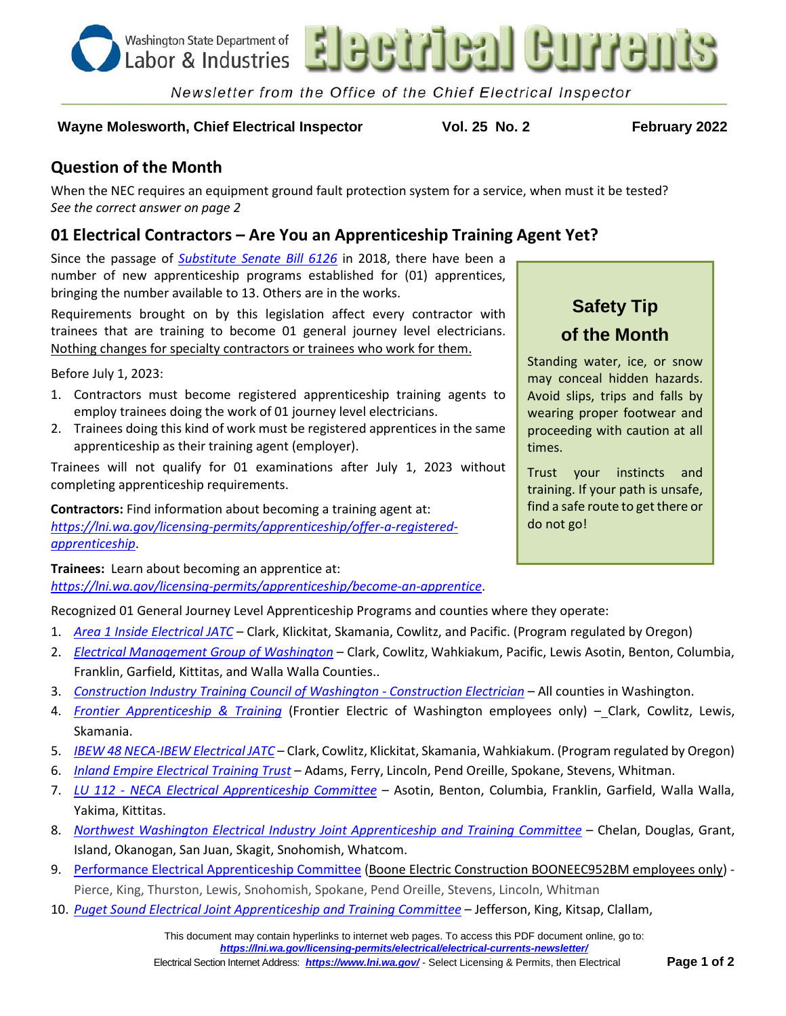

Newsletter from the Office of the Chief Electrical Inspector

#### **Wayne Molesworth, Chief Electrical Inspector Vol. 25 No. 2 February 2022**

## **Question of the Month**

When the NEC requires an equipment ground fault protection system for a service, when must it be tested? *See the correct answer on page 2*

## **01 Electrical Contractors – Are You an Apprenticeship Training Agent Yet?**

Since the passage of *[Substitute Senate Bill 6126](http://apps2.leg.wa.gov/billsummary?BillNumber=6126&Year=2017&BillNumber=6126&Year=2017)* in 2018, there have been a number of new apprenticeship programs established for (01) apprentices, bringing the number available to 13. Others are in the works.

Requirements brought on by this legislation affect every contractor with trainees that are training to become 01 general journey level electricians. Nothing changes for specialty contractors or trainees who work for them.

Before July 1, 2023:

- 1. Contractors must become registered apprenticeship training agents to employ trainees doing the work of 01 journey level electricians.
- 2. Trainees doing this kind of work must be registered apprentices in the same apprenticeship as their training agent (employer).

Trainees will not qualify for 01 examinations after July 1, 2023 without completing apprenticeship requirements.

**Contractors:** Find information about becoming a training agent at: *[https://lni.wa.gov/licensing-permits/apprenticeship/offer-a-registered](https://lni.wa.gov/licensing-permits/apprenticeship/offer-a-registered-apprenticeship)[apprenticeship](https://lni.wa.gov/licensing-permits/apprenticeship/offer-a-registered-apprenticeship)*.

# **Safety Tip of the Month**

Standing water, ice, or snow may conceal hidden hazards. Avoid slips, trips and falls by wearing proper footwear and proceeding with caution at all times.

Trust your instincts and training. If your path is unsafe, find a safe route to get there or do not go!

**Trainees:** Learn about becoming an apprentice at: *<https://lni.wa.gov/licensing-permits/apprenticeship/become-an-apprentice>*.

Recognized 01 General Journey Level Apprenticeship Programs and counties where they operate:

- 1. *[Area 1 Inside Electrical JATC](http://www.area1jatc.com/)* Clark, Klickitat, Skamania, Cowlitz, and Pacific. (Program regulated by Oregon)
- 2. *[Electrical Management Group of Washington](https://secure.lni.wa.gov/arts-public/#/program-details?programId=2214&from=%2Fprogram-search)* Clark, Cowlitz, Wahkiakum, Pacific, Lewis Asotin, Benton, Columbia, Franklin, Garfield, Kittitas, and Walla Walla Counties..
- 3. *[Construction Industry Training Council of Washington -](https://secure.lni.wa.gov/arts-public/#/program-details?programId=592&from=%2Fprogram-search) Construction Electrician* All counties in Washington.
- 4. *[Frontier Apprenticeship & Training](https://secure.lni.wa.gov/arts-public/#/program-details?programId=2168&from=%2Fprogram-search)* (Frontier Electric of Washington employees only) Clark, Cowlitz, Lewis, Skamania.
- 5. *[IBEW 48 NECA-IBEW Electrical JATC](http://www.nietc.org/)* Clark, Cowlitz, Klickitat, Skamania, Wahkiakum. (Program regulated by Oregon)
- 6. *[Inland Empire Electrical Training Trust](https://secure.lni.wa.gov/arts-public/#/program-details?programId=143&from=%2Fprogram-search)* Adams, Ferry, Lincoln, Pend Oreille, Spokane, Stevens, Whitman.
- 7. *LU 112 - [NECA Electrical Apprenticeship Committee](https://secure.lni.wa.gov/arts-public/#/program-details?programId=81&from=%2Fprogram-search)* Asotin, Benton, Columbia, Franklin, Garfield, Walla Walla, Yakima, Kittitas.
- 8. *[Northwest Washington Electrical Industry Joint Apprenticeship and Training Committee](https://secure.lni.wa.gov/arts-public/#/program-details?programId=65&from=%2Fprogram-search)* Chelan, Douglas, Grant, Island, Okanogan, San Juan, Skagit, Snohomish, Whatcom.
- 9. [Performance Electrical Apprenticeship Committee](https://gcc02.safelinks.protection.outlook.com/?url=https%3A%2F%2Fsecure.lni.wa.gov%2Farts-public%2F%23%2Fprogram-details%3FprogramId%3D2224%26from%3D%252Fprogram-search&data=04%7C01%7Clalo235%40LNI.WA.GOV%7Ccde9fe91c25f439b6c7008d9e288ffc6%7C11d0e217264e400a8ba057dcc127d72d%7C0%7C0%7C637789900293739711%7CUnknown%7CTWFpbGZsb3d8eyJWIjoiMC4wLjAwMDAiLCJQIjoiV2luMzIiLCJBTiI6Ik1haWwiLCJXVCI6Mn0%3D%7C3000&sdata=8KWS3Cfj8PZEU3SZcmBAUfwd6LsC%2BqJRDH4VOWuK7PY%3D&reserved=0) (Boone Electric Construction BOONEEC952BM employees only) Pierce, King, Thurston, Lewis, Snohomish, Spokane, Pend Oreille, Stevens, Lincoln, Whitman
- 10. *[Puget Sound Electrical Joint Apprenticeship and Training Committee](https://secure.lni.wa.gov/arts-public/#/program-details?programId=134&from=%2Fprogram-search)* Jefferson, King, Kitsap, Clallam,